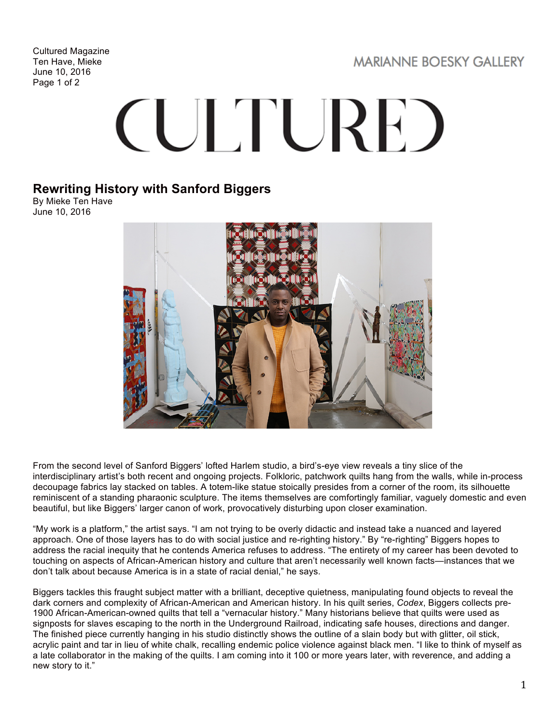Cultured Magazine Ten Have, Mieke June 10, 2016 Page 1 of 2

**MARIANNE BOESKY GALLERY** 

## **CULTURE**

## **Rewriting History with Sanford Biggers**

By Mieke Ten Have June 10, 2016



From the second level of Sanford Biggers' lofted Harlem studio, a bird's-eye view reveals a tiny slice of the interdisciplinary artist's both recent and ongoing projects. Folkloric, patchwork quilts hang from the walls, while in-process decoupage fabrics lay stacked on tables. A totem-like statue stoically presides from a corner of the room, its silhouette reminiscent of a standing pharaonic sculpture. The items themselves are comfortingly familiar, vaguely domestic and even beautiful, but like Biggers' larger canon of work, provocatively disturbing upon closer examination.

"My work is a platform," the artist says. "I am not trying to be overly didactic and instead take a nuanced and layered approach. One of those layers has to do with social justice and re-righting history." By "re-righting" Biggers hopes to address the racial inequity that he contends America refuses to address. "The entirety of my career has been devoted to touching on aspects of African-American history and culture that aren't necessarily well known facts—instances that we don't talk about because America is in a state of racial denial," he says.

Biggers tackles this fraught subject matter with a brilliant, deceptive quietness, manipulating found objects to reveal the dark corners and complexity of African-American and American history. In his quilt series, *Codex*, Biggers collects pre-1900 African-American-owned quilts that tell a "vernacular history." Many historians believe that quilts were used as signposts for slaves escaping to the north in the Underground Railroad, indicating safe houses, directions and danger. The finished piece currently hanging in his studio distinctly shows the outline of a slain body but with glitter, oil stick, acrylic paint and tar in lieu of white chalk, recalling endemic police violence against black men. "I like to think of myself as a late collaborator in the making of the quilts. I am coming into it 100 or more years later, with reverence, and adding a new story to it."